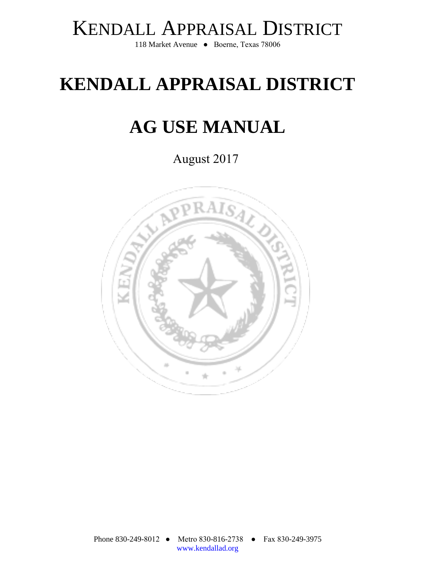# KENDALL APPRAISAL DISTRICT

118 Market Avenue ● Boerne, Texas 78006

# **KENDALL APPRAISAL DISTRICT**

# **AG USE MANUAL**

August 2017

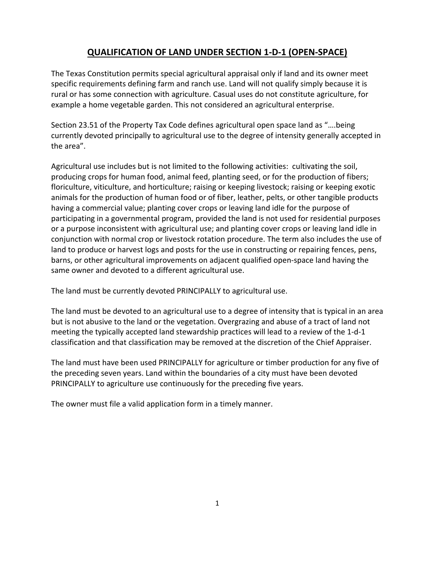## **QUALIFICATION OF LAND UNDER SECTION 1‐D‐1 (OPEN‐SPACE)**

The Texas Constitution permits special agricultural appraisal only if land and its owner meet specific requirements defining farm and ranch use. Land will not qualify simply because it is rural or has some connection with agriculture. Casual uses do not constitute agriculture, for example a home vegetable garden. This not considered an agricultural enterprise.

Section 23.51 of the Property Tax Code defines agricultural open space land as "….being currently devoted principally to agricultural use to the degree of intensity generally accepted in the area".

Agricultural use includes but is not limited to the following activities: cultivating the soil, producing crops for human food, animal feed, planting seed, or for the production of fibers; floriculture, viticulture, and horticulture; raising or keeping livestock; raising or keeping exotic animals for the production of human food or of fiber, leather, pelts, or other tangible products having a commercial value; planting cover crops or leaving land idle for the purpose of participating in a governmental program, provided the land is not used for residential purposes or a purpose inconsistent with agricultural use; and planting cover crops or leaving land idle in conjunction with normal crop or livestock rotation procedure. The term also includes the use of land to produce or harvest logs and posts for the use in constructing or repairing fences, pens, barns, or other agricultural improvements on adjacent qualified open‐space land having the same owner and devoted to a different agricultural use.

The land must be currently devoted PRINCIPALLY to agricultural use.

The land must be devoted to an agricultural use to a degree of intensity that is typical in an area but is not abusive to the land or the vegetation. Overgrazing and abuse of a tract of land not meeting the typically accepted land stewardship practices will lead to a review of the 1‐d‐1 classification and that classification may be removed at the discretion of the Chief Appraiser.

The land must have been used PRINCIPALLY for agriculture or timber production for any five of the preceding seven years. Land within the boundaries of a city must have been devoted PRINCIPALLY to agriculture use continuously for the preceding five years.

The owner must file a valid application form in a timely manner.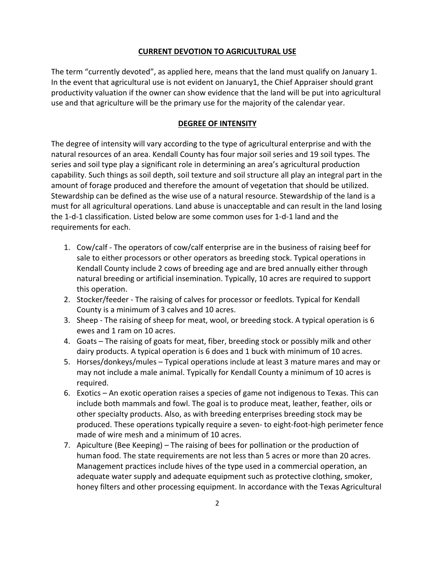#### **CURRENT DEVOTION TO AGRICULTURAL USE**

The term "currently devoted", as applied here, means that the land must qualify on January 1. In the event that agricultural use is not evident on January1, the Chief Appraiser should grant productivity valuation if the owner can show evidence that the land will be put into agricultural use and that agriculture will be the primary use for the majority of the calendar year.

#### **DEGREE OF INTENSITY**

The degree of intensity will vary according to the type of agricultural enterprise and with the natural resources of an area. Kendall County has four major soil series and 19 soil types. The series and soil type play a significant role in determining an area's agricultural production capability. Such things as soil depth, soil texture and soil structure all play an integral part in the amount of forage produced and therefore the amount of vegetation that should be utilized. Stewardship can be defined as the wise use of a natural resource. Stewardship of the land is a must for all agricultural operations. Land abuse is unacceptable and can result in the land losing the 1‐d‐1 classification. Listed below are some common uses for 1‐d‐1 land and the requirements for each.

- 1. Cow/calf ‐ The operators of cow/calf enterprise are in the business of raising beef for sale to either processors or other operators as breeding stock. Typical operations in Kendall County include 2 cows of breeding age and are bred annually either through natural breeding or artificial insemination. Typically, 10 acres are required to support this operation.
- 2. Stocker/feeder ‐ The raising of calves for processor or feedlots. Typical for Kendall County is a minimum of 3 calves and 10 acres.
- 3. Sheep ‐ The raising of sheep for meat, wool, or breeding stock. A typical operation is 6 ewes and 1 ram on 10 acres.
- 4. Goats The raising of goats for meat, fiber, breeding stock or possibly milk and other dairy products. A typical operation is 6 does and 1 buck with minimum of 10 acres.
- 5. Horses/donkeys/mules Typical operations include at least 3 mature mares and may or may not include a male animal. Typically for Kendall County a minimum of 10 acres is required.
- 6. Exotics An exotic operation raises a species of game not indigenous to Texas. This can include both mammals and fowl. The goal is to produce meat, leather, feather, oils or other specialty products. Also, as with breeding enterprises breeding stock may be produced. These operations typically require a seven‐ to eight‐foot‐high perimeter fence made of wire mesh and a minimum of 10 acres.
- 7. Apiculture (Bee Keeping) The raising of bees for pollination or the production of human food. The state requirements are not less than 5 acres or more than 20 acres. Management practices include hives of the type used in a commercial operation, an adequate water supply and adequate equipment such as protective clothing, smoker, honey filters and other processing equipment. In accordance with the Texas Agricultural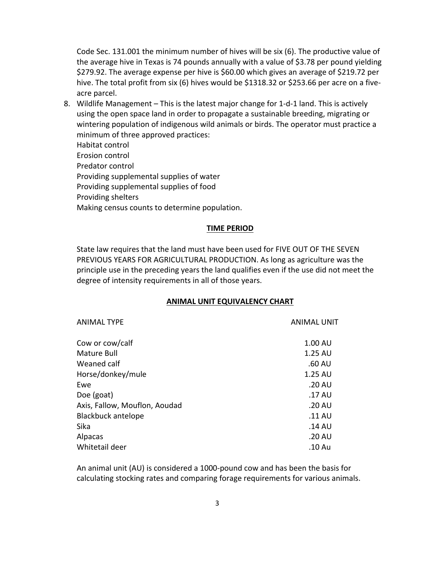Code Sec. 131.001 the minimum number of hives will be six (6). The productive value of the average hive in Texas is 74 pounds annually with a value of \$3.78 per pound yielding \$279.92. The average expense per hive is \$60.00 which gives an average of \$219.72 per hive. The total profit from six (6) hives would be \$1318.32 or \$253.66 per acre on a fiveacre parcel.

- 8. Wildlife Management This is the latest major change for 1‐d‐1 land. This is actively using the open space land in order to propagate a sustainable breeding, migrating or wintering population of indigenous wild animals or birds. The operator must practice a minimum of three approved practices:
	- Habitat control

Erosion control

Predator control

Providing supplemental supplies of water

Providing supplemental supplies of food

Providing shelters

Making census counts to determine population.

## **TIME PERIOD**

State law requires that the land must have been used for FIVE OUT OF THE SEVEN PREVIOUS YEARS FOR AGRICULTURAL PRODUCTION. As long as agriculture was the principle use in the preceding years the land qualifies even if the use did not meet the degree of intensity requirements in all of those years.

## **ANIMAL UNIT EQUIVALENCY CHART**

| <b>ANIMAL TYPE</b>            | <b>ANIMAL UNIT</b> |
|-------------------------------|--------------------|
| Cow or cow/calf               | 1.00 AU            |
| Mature Bull                   | $1.25 \text{ AU}$  |
| Weaned calf                   | .60 AU             |
| Horse/donkey/mule             | 1.25 AU            |
| Ewe                           | .20 AU             |
| Doe (goat)                    | .17 AU             |
| Axis, Fallow, Mouflon, Aoudad | .20 AU             |
| <b>Blackbuck antelope</b>     | .11 AU             |
| Sika                          | .14 AU             |
| Alpacas                       | .20 AU             |
| Whitetail deer                | .10 Au             |

An animal unit (AU) is considered a 1000‐pound cow and has been the basis for calculating stocking rates and comparing forage requirements for various animals.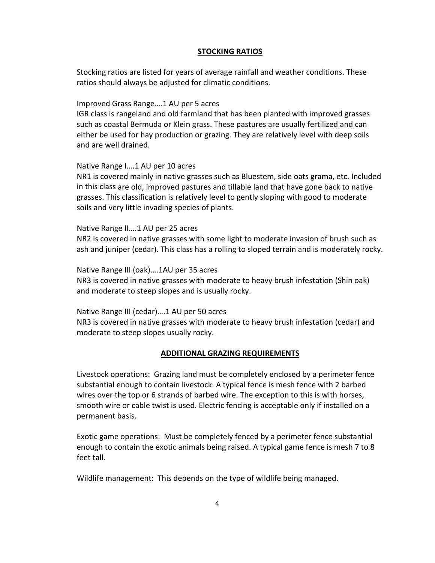### **STOCKING RATIOS**

Stocking ratios are listed for years of average rainfall and weather conditions. These ratios should always be adjusted for climatic conditions.

Improved Grass Range….1 AU per 5 acres

IGR class is rangeland and old farmland that has been planted with improved grasses such as coastal Bermuda or Klein grass. These pastures are usually fertilized and can either be used for hay production or grazing. They are relatively level with deep soils and are well drained.

#### Native Range I….1 AU per 10 acres

NR1 is covered mainly in native grasses such as Bluestem, side oats grama, etc. Included in this class are old, improved pastures and tillable land that have gone back to native grasses. This classification is relatively level to gently sloping with good to moderate soils and very little invading species of plants.

Native Range II….1 AU per 25 acres

NR2 is covered in native grasses with some light to moderate invasion of brush such as ash and juniper (cedar). This class has a rolling to sloped terrain and is moderately rocky.

Native Range III (oak)….1AU per 35 acres NR3 is covered in native grasses with moderate to heavy brush infestation (Shin oak) and moderate to steep slopes and is usually rocky.

Native Range III (cedar)….1 AU per 50 acres NR3 is covered in native grasses with moderate to heavy brush infestation (cedar) and moderate to steep slopes usually rocky.

### **ADDITIONAL GRAZING REQUIREMENTS**

Livestock operations: Grazing land must be completely enclosed by a perimeter fence substantial enough to contain livestock. A typical fence is mesh fence with 2 barbed wires over the top or 6 strands of barbed wire. The exception to this is with horses, smooth wire or cable twist is used. Electric fencing is acceptable only if installed on a permanent basis.

Exotic game operations: Must be completely fenced by a perimeter fence substantial enough to contain the exotic animals being raised. A typical game fence is mesh 7 to 8 feet tall.

Wildlife management: This depends on the type of wildlife being managed.